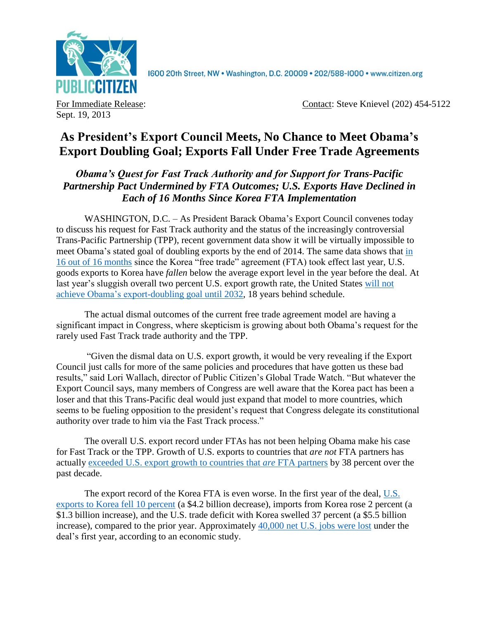

1600 20th Street, NW . Washington, D.C. 20009 . 202/588-1000 . www.citizen.org

Sept. 19, 2013

For Immediate Release: Contact: Steve Knievel (202) 454-5122

## **As President's Export Council Meets, No Chance to Meet Obama's Export Doubling Goal; Exports Fall Under Free Trade Agreements**

*Obama's Quest for Fast Track Authority and for Support for Trans-Pacific Partnership Pact Undermined by FTA Outcomes; U.S. Exports Have Declined in Each of 16 Months Since Korea FTA Implementation* 

WASHINGTON, D.C. – As President Barack Obama's Export Council convenes today to discuss his request for Fast Track authority and the status of the increasingly controversial Trans-Pacific Partnership (TPP), recent government data show it will be virtually impossible to meet Obama's stated goal of doubling exports by the end of 2014. The same data shows that [in](http://citizen.typepad.com/eyesontrade/2013/09/exports-fall-short-under-korea-fta-for-16-out-of-16-months.html)  [16 out of 16 months](http://citizen.typepad.com/eyesontrade/2013/09/exports-fall-short-under-korea-fta-for-16-out-of-16-months.html) since the Korea "free trade" agreement (FTA) took effect last year, U.S. goods exports to Korea have *fallen* below the average export level in the year before the deal. At last year's sluggish overall two percent U.S. export growth rate, the United States will not achieve [Obama's export-doubling goal until 2032,](http://citizen.typepad.com/eyesontrade/2013/02/obamas-export-promise-falls-18-years-behind-schedule-as-exports-decline-under-ftas.html) 18 years behind schedule.

The actual dismal outcomes of the current free trade agreement model are having a significant impact in Congress, where skepticism is growing about both Obama's request for the rarely used Fast Track trade authority and the TPP.

"Given the dismal data on U.S. export growth, it would be very revealing if the Export Council just calls for more of the same policies and procedures that have gotten us these bad results," said Lori Wallach, director of Public Citizen's Global Trade Watch. "But whatever the Export Council says, many members of Congress are well aware that the Korea pact has been a loser and that this Trans-Pacific deal would just expand that model to more countries, which seems to be fueling opposition to the president's request that Congress delegate its constitutional authority over trade to him via the Fast Track process."

The overall U.S. export record under FTAs has not been helping Obama make his case for Fast Track or the TPP. Growth of U.S. exports to countries that *are not* FTA partners has actually [exceeded U.S. export growth to countries that](http://www.citizen.org/documents/FTA-V-No-FTA-Factsheet.pdf) *are* FTA partners by 38 percent over the past decade.

The export record of the Korea FTA is even worse. In the first year of the deal, [U.S.](http://citizen.typepad.com/eyesontrade/2013/05/as-korean-president-addresses-congress-today-first-year-of-korea-free-trade-agreement-data-shows-us-.html)  [exports to Korea fell 10 percent](http://citizen.typepad.com/eyesontrade/2013/05/as-korean-president-addresses-congress-today-first-year-of-korea-free-trade-agreement-data-shows-us-.html) (a \$4.2 billion decrease), imports from Korea rose 2 percent (a \$1.3 billion increase), and the U.S. trade deficit with Korea swelled 37 percent (a \$5.5 billion increase), compared to the prior year. Approximately [40,000 net U.S. jobs were lost](http://www.epi.org/publication/trade-pacts-korus-trans-pacific-partnership/) under the deal's first year, according to an economic study.